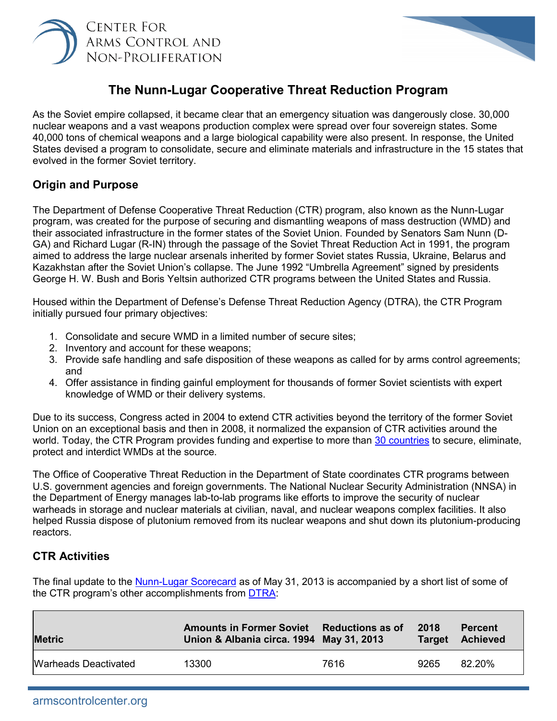



# **The Nunn-Lugar Cooperative Threat Reduction Program**

As the Soviet empire collapsed, it became clear that an emergency situation was dangerously close. 30,000 nuclear weapons and a vast weapons production complex were spread over four sovereign states. Some 40,000 tons of chemical weapons and a large biological capability were also present. In response, the United States devised a program to consolidate, secure and eliminate materials and infrastructure in the 15 states that evolved in the former Soviet territory.

#### **Origin and Purpose**

The Department of Defense Cooperative Threat Reduction (CTR) program, also known as the Nunn-Lugar program, was created for the purpose of securing and dismantling weapons of mass destruction (WMD) and their associated infrastructure in the former states of the Soviet Union. Founded by Senators Sam Nunn (D-GA) and Richard Lugar (R-IN) through the passage of the Soviet Threat Reduction Act in 1991, the program aimed to address the large nuclear arsenals inherited by former Soviet states Russia, Ukraine, Belarus and Kazakhstan after the Soviet Union's collapse. The June 1992 "Umbrella Agreement" signed by presidents George H. W. Bush and Boris Yeltsin authorized CTR programs between the United States and Russia.

Housed within the Department of Defense's Defense Threat Reduction Agency (DTRA), the CTR Program initially pursued four primary objectives:

- 1. Consolidate and secure WMD in a limited number of secure sites;
- 2. Inventory and account for these weapons;
- 3. Provide safe handling and safe disposition of these weapons as called for by arms control agreements; and
- 4. Offer assistance in finding gainful employment for thousands of former Soviet scientists with expert knowledge of WMD or their delivery systems.

Due to its success, Congress acted in 2004 to extend CTR activities beyond the territory of the former Soviet Union on an exceptional basis and then in 2008, it normalized the expansion of CTR activities around the world. Today, the CTR Program provides funding and expertise to more than [30 countries](https://www.dtra.mil/Portals/61/Documents/History%20of%20CTR.pdf?ver=2019-04-25-140558-733) to secure, eliminate, protect and interdict WMDs at the source.

The Office of Cooperative Threat Reduction in the Department of State coordinates CTR programs between U.S. government agencies and foreign governments. The National Nuclear Security Administration (NNSA) in the Department of Energy manages lab-to-lab programs like efforts to improve the security of nuclear warheads in storage and nuclear materials at civilian, naval, and nuclear weapons complex facilities. It also helped Russia dispose of plutonium removed from its nuclear weapons and shut down its plutonium-producing reactors.

## **CTR Activities**

The final update to the [Nunn-Lugar Scorecard](https://www.dtra.mil/Portals/61/Documents/CTR%20Scorecards/20130501_fy13_ctr-scorecard_slides_may13.pdf) as of May 31, 2013 is accompanied by a short list of some of the CTR program's other accomplishments from [DTRA:](https://www.dtra.mil/Portals/61/Documents/History%20of%20CTR.pdf?ver=2019-04-25-140558-733)

| <b>Metric</b>        | Amounts in Former Soviet Reductions as of<br>Union & Albania circa. 1994 May 31, 2013 |      | 2018<br><b>Target</b> | <b>Percent</b><br><b>Achieved</b> |
|----------------------|---------------------------------------------------------------------------------------|------|-----------------------|-----------------------------------|
| Warheads Deactivated | 13300                                                                                 | 7616 | 9265                  | 82.20%                            |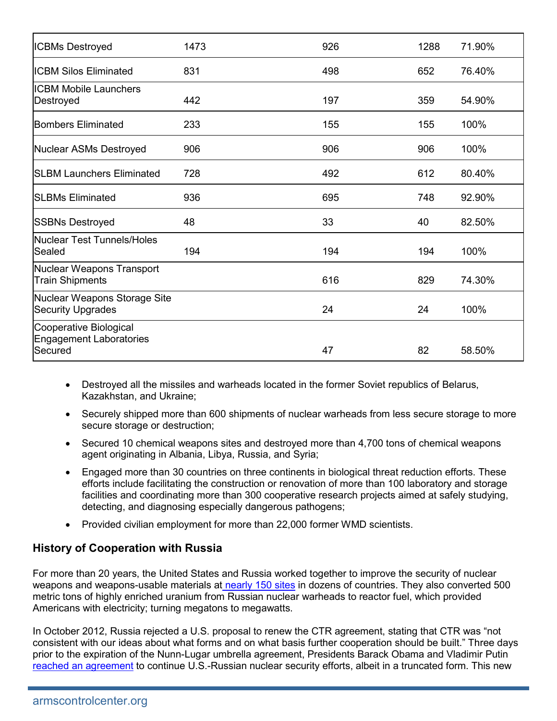| <b>ICBMs Destroyed</b>                                              | 1473 | 926 | 1288 | 71.90% |
|---------------------------------------------------------------------|------|-----|------|--------|
| <b>ICBM Silos Eliminated</b>                                        | 831  | 498 | 652  | 76.40% |
| <b>ICBM Mobile Launchers</b><br>Destroyed                           | 442  | 197 | 359  | 54.90% |
| <b>Bombers Eliminated</b>                                           | 233  | 155 | 155  | 100%   |
| Nuclear ASMs Destroyed                                              | 906  | 906 | 906  | 100%   |
| <b>SLBM Launchers Eliminated</b>                                    | 728  | 492 | 612  | 80.40% |
| <b>ISLBMs Eliminated</b>                                            | 936  | 695 | 748  | 92.90% |
| <b>SSBNs Destroyed</b>                                              | 48   | 33  | 40   | 82.50% |
| Nuclear Test Tunnels/Holes<br>Sealed                                | 194  | 194 | 194  | 100%   |
| Nuclear Weapons Transport<br><b>Train Shipments</b>                 |      | 616 | 829  | 74.30% |
| Nuclear Weapons Storage Site<br><b>Security Upgrades</b>            |      | 24  | 24   | 100%   |
| Cooperative Biological<br><b>Engagement Laboratories</b><br>Secured |      | 47  | 82   | 58.50% |

- Destroyed all the missiles and warheads located in the former Soviet republics of Belarus, Kazakhstan, and Ukraine;
- Securely shipped more than 600 shipments of nuclear warheads from less secure storage to more secure storage or destruction;
- Secured 10 chemical weapons sites and destroyed more than 4,700 tons of chemical weapons agent originating in Albania, Libya, Russia, and Syria;
- Engaged more than 30 countries on three continents in biological threat reduction efforts. These efforts include facilitating the construction or renovation of more than 100 laboratory and storage facilities and coordinating more than 300 cooperative research projects aimed at safely studying, detecting, and diagnosing especially dangerous pathogens;
- Provided civilian employment for more than 22,000 former WMD scientists.

## **History of Cooperation with Russia**

For more than 20 years, the United States and Russia worked together to improve the security of nuclear weapons and weapons-usable materials at [nearly 150 sites](https://www.russiamatters.org/facts/cooperative-threat-reduction-timeline) in dozens of countries. They also converted 500 metric tons of highly enriched uranium from Russian nuclear warheads to reactor fuel, which provided Americans with electricity; turning megatons to megawatts.

In October 2012, Russia rejected a U.S. proposal to renew the CTR agreement, stating that CTR was "not consistent with our ideas about what forms and on what basis further cooperation should be built." Three days prior to the expiration of the Nunn-Lugar umbrella agreement, Presidents Barack Obama and Vladimir Putin [reached an agreement](https://2009-2017.state.gov/r/pa/prs/ps/2013/06/210913.htm) to continue U.S.-Russian nuclear security efforts, albeit in a truncated form. This new